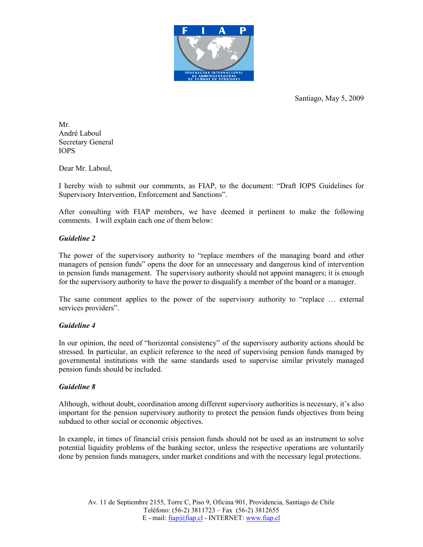

Santiago, May 5, 2009

Mr. André Laboul Secretary General IOPS

Dear Mr. Laboul,

I hereby wish to submit our comments, as FIAP, to the document: "Draft IOPS Guidelines for Supervisory Intervention, Enforcement and Sanctions".

After consulting with FIAP members, we have deemed it pertinent to make the following comments. I will explain each one of them below:

## Guideline 2

The power of the supervisory authority to "replace members of the managing board and other managers of pension funds" opens the door for an unnecessary and dangerous kind of intervention in pension funds management. The supervisory authority should not appoint managers; it is enough for the supervisory authority to have the power to disqualify a member of the board or a manager.

The same comment applies to the power of the supervisory authority to "replace … external services providers".

## Guideline 4

In our opinion, the need of "horizontal consistency" of the supervisory authority actions should be stressed. In particular, an explicit reference to the need of supervising pension funds managed by governmental institutions with the same standards used to supervise similar privately managed pension funds should be included.

## Guideline 8

Although, without doubt, coordination among different supervisory authorities is necessary, it's also important for the pension supervisory authority to protect the pension funds objectives from being subdued to other social or economic objectives.

In example, in times of financial crisis pension funds should not be used as an instrument to solve potential liquidity problems of the banking sector, unless the respective operations are voluntarily done by pension funds managers, under market conditions and with the necessary legal protections.